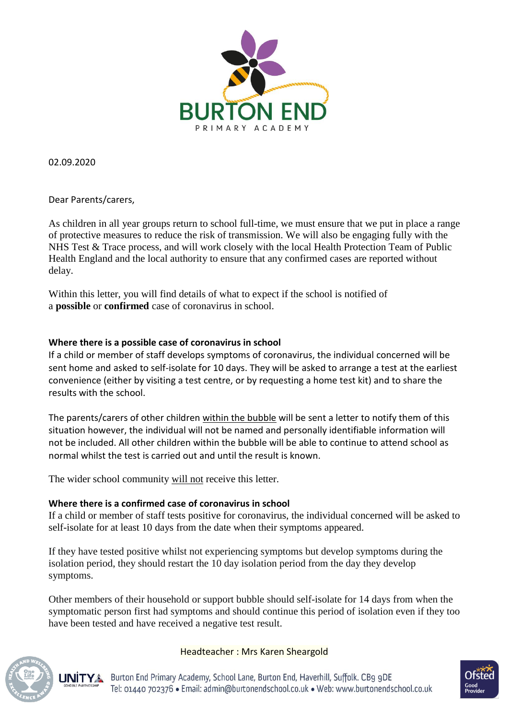

02.09.2020

Dear Parents/carers,

As children in all year groups return to school full-time, we must ensure that we put in place a range of protective measures to reduce the risk of transmission. We will also be engaging fully with the NHS Test & Trace process, and will work closely with the local Health Protection Team of Public Health England and the local authority to ensure that any confirmed cases are reported without delay.

Within this letter, you will find details of what to expect if the school is notified of a **possible** or **confirmed** case of coronavirus in school.

# **Where there is a possible case of coronavirus in school**

If a child or member of staff develops symptoms of coronavirus, the individual concerned will be sent home and asked to self-isolate for 10 days. They will be asked to arrange a test at the earliest convenience (either by visiting a test centre, or by requesting a home test kit) and to share the results with the school.

The parents/carers of other children within the bubble will be sent a letter to notify them of this situation however, the individual will not be named and personally identifiable information will not be included. All other children within the bubble will be able to continue to attend school as normal whilst the test is carried out and until the result is known.

The wider school community will not receive this letter.

# **Where there is a confirmed case of coronavirus in school**

If a child or member of staff tests positive for coronavirus, the individual concerned will be asked to self-isolate for at least 10 days from the date when their symptoms appeared.

If they have tested positive whilst not experiencing symptoms but develop symptoms during the isolation period, they should restart the 10 day isolation period from the day they develop symptoms.

Other members of their household or support bubble should self-isolate for 14 days from when the symptomatic person first had symptoms and should continue this period of isolation even if they too have been tested and have received a negative test result.



## Headteacher : Mrs Karen Sheargold

Burton End Primary Academy, School Lane, Burton End, Haverhill, Suffolk. CB9 9DE **LINITYA** Tel: 01440 702376 · Email: admin@burtonendschool.co.uk · Web: www.burtonendschool.co.uk